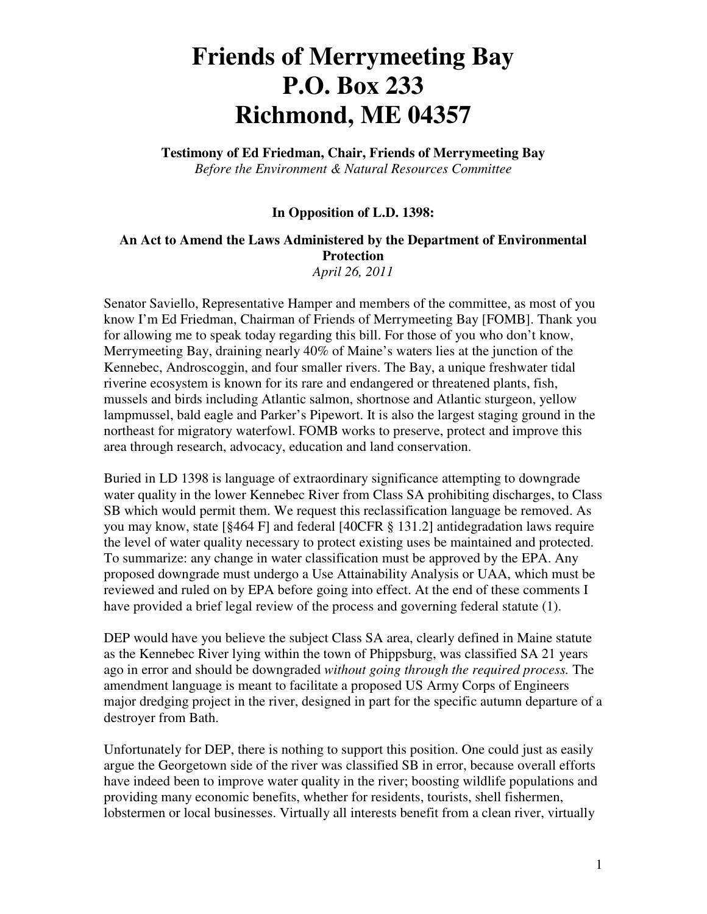# **Friends of Merrymeeting Bay P.O. Box 233 Richmond, ME 04357**

**Testimony of Ed Friedman, Chair, Friends of Merrymeeting Bay** *Before the Environment & Natural Resources Committee* 

### **In Opposition of L.D. 1398:**

#### **An Act to Amend the Laws Administered by the Department of Environmental Protection** *April 26, 2011*

Senator Saviello, Representative Hamper and members of the committee, as most of you know I'm Ed Friedman, Chairman of Friends of Merrymeeting Bay [FOMB]. Thank you for allowing me to speak today regarding this bill. For those of you who don't know, Merrymeeting Bay, draining nearly 40% of Maine's waters lies at the junction of the Kennebec, Androscoggin, and four smaller rivers. The Bay, a unique freshwater tidal riverine ecosystem is known for its rare and endangered or threatened plants, fish, mussels and birds including Atlantic salmon, shortnose and Atlantic sturgeon, yellow lampmussel, bald eagle and Parker's Pipewort. It is also the largest staging ground in the northeast for migratory waterfowl. FOMB works to preserve, protect and improve this area through research, advocacy, education and land conservation.

Buried in LD 1398 is language of extraordinary significance attempting to downgrade water quality in the lower Kennebec River from Class SA prohibiting discharges, to Class SB which would permit them. We request this reclassification language be removed. As you may know, state [§464 F] and federal [40CFR § 131.2] antidegradation laws require the level of water quality necessary to protect existing uses be maintained and protected. To summarize: any change in water classification must be approved by the EPA. Any proposed downgrade must undergo a Use Attainability Analysis or UAA, which must be reviewed and ruled on by EPA before going into effect. At the end of these comments I have provided a brief legal review of the process and governing federal statute (1).

DEP would have you believe the subject Class SA area, clearly defined in Maine statute as the Kennebec River lying within the town of Phippsburg, was classified SA 21 years ago in error and should be downgraded *without going through the required process.* The amendment language is meant to facilitate a proposed US Army Corps of Engineers major dredging project in the river, designed in part for the specific autumn departure of a destroyer from Bath.

Unfortunately for DEP, there is nothing to support this position. One could just as easily argue the Georgetown side of the river was classified SB in error, because overall efforts have indeed been to improve water quality in the river; boosting wildlife populations and providing many economic benefits, whether for residents, tourists, shell fishermen, lobstermen or local businesses. Virtually all interests benefit from a clean river, virtually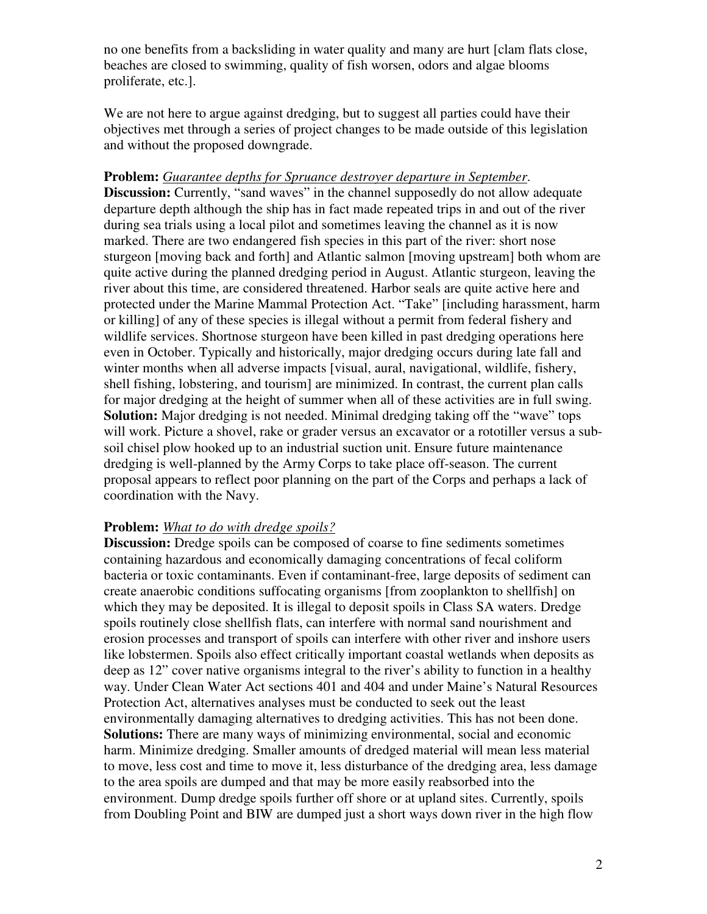no one benefits from a backsliding in water quality and many are hurt [clam flats close, beaches are closed to swimming, quality of fish worsen, odors and algae blooms proliferate, etc.].

We are not here to argue against dredging, but to suggest all parties could have their objectives met through a series of project changes to be made outside of this legislation and without the proposed downgrade.

# **Problem:** *Guarantee depths for Spruance destroyer departure in September*.

**Discussion:** Currently, "sand waves" in the channel supposedly do not allow adequate departure depth although the ship has in fact made repeated trips in and out of the river during sea trials using a local pilot and sometimes leaving the channel as it is now marked. There are two endangered fish species in this part of the river: short nose sturgeon [moving back and forth] and Atlantic salmon [moving upstream] both whom are quite active during the planned dredging period in August. Atlantic sturgeon, leaving the river about this time, are considered threatened. Harbor seals are quite active here and protected under the Marine Mammal Protection Act. "Take" [including harassment, harm or killing] of any of these species is illegal without a permit from federal fishery and wildlife services. Shortnose sturgeon have been killed in past dredging operations here even in October. Typically and historically, major dredging occurs during late fall and winter months when all adverse impacts [visual, aural, navigational, wildlife, fishery, shell fishing, lobstering, and tourism] are minimized. In contrast, the current plan calls for major dredging at the height of summer when all of these activities are in full swing. **Solution:** Major dredging is not needed. Minimal dredging taking off the "wave" tops will work. Picture a shovel, rake or grader versus an excavator or a rototiller versus a subsoil chisel plow hooked up to an industrial suction unit. Ensure future maintenance dredging is well-planned by the Army Corps to take place off-season. The current proposal appears to reflect poor planning on the part of the Corps and perhaps a lack of coordination with the Navy.

# **Problem:** *What to do with dredge spoils?*

**Discussion:** Dredge spoils can be composed of coarse to fine sediments sometimes containing hazardous and economically damaging concentrations of fecal coliform bacteria or toxic contaminants. Even if contaminant-free, large deposits of sediment can create anaerobic conditions suffocating organisms [from zooplankton to shellfish] on which they may be deposited. It is illegal to deposit spoils in Class SA waters. Dredge spoils routinely close shellfish flats, can interfere with normal sand nourishment and erosion processes and transport of spoils can interfere with other river and inshore users like lobstermen. Spoils also effect critically important coastal wetlands when deposits as deep as 12" cover native organisms integral to the river's ability to function in a healthy way. Under Clean Water Act sections 401 and 404 and under Maine's Natural Resources Protection Act, alternatives analyses must be conducted to seek out the least environmentally damaging alternatives to dredging activities. This has not been done. **Solutions:** There are many ways of minimizing environmental, social and economic harm. Minimize dredging. Smaller amounts of dredged material will mean less material to move, less cost and time to move it, less disturbance of the dredging area, less damage to the area spoils are dumped and that may be more easily reabsorbed into the environment. Dump dredge spoils further off shore or at upland sites. Currently, spoils from Doubling Point and BIW are dumped just a short ways down river in the high flow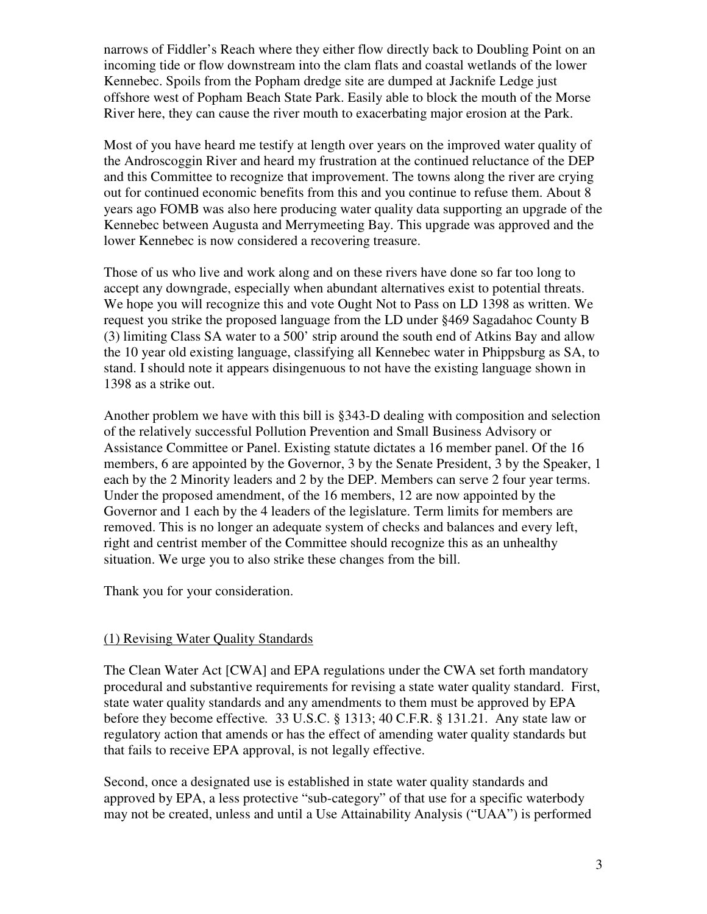narrows of Fiddler's Reach where they either flow directly back to Doubling Point on an incoming tide or flow downstream into the clam flats and coastal wetlands of the lower Kennebec. Spoils from the Popham dredge site are dumped at Jacknife Ledge just offshore west of Popham Beach State Park. Easily able to block the mouth of the Morse River here, they can cause the river mouth to exacerbating major erosion at the Park.

Most of you have heard me testify at length over years on the improved water quality of the Androscoggin River and heard my frustration at the continued reluctance of the DEP and this Committee to recognize that improvement. The towns along the river are crying out for continued economic benefits from this and you continue to refuse them. About 8 years ago FOMB was also here producing water quality data supporting an upgrade of the Kennebec between Augusta and Merrymeeting Bay. This upgrade was approved and the lower Kennebec is now considered a recovering treasure.

Those of us who live and work along and on these rivers have done so far too long to accept any downgrade, especially when abundant alternatives exist to potential threats. We hope you will recognize this and vote Ought Not to Pass on LD 1398 as written. We request you strike the proposed language from the LD under §469 Sagadahoc County B (3) limiting Class SA water to a 500' strip around the south end of Atkins Bay and allow the 10 year old existing language, classifying all Kennebec water in Phippsburg as SA, to stand. I should note it appears disingenuous to not have the existing language shown in 1398 as a strike out.

Another problem we have with this bill is §343-D dealing with composition and selection of the relatively successful Pollution Prevention and Small Business Advisory or Assistance Committee or Panel. Existing statute dictates a 16 member panel. Of the 16 members, 6 are appointed by the Governor, 3 by the Senate President, 3 by the Speaker, 1 each by the 2 Minority leaders and 2 by the DEP. Members can serve 2 four year terms. Under the proposed amendment, of the 16 members, 12 are now appointed by the Governor and 1 each by the 4 leaders of the legislature. Term limits for members are removed. This is no longer an adequate system of checks and balances and every left, right and centrist member of the Committee should recognize this as an unhealthy situation. We urge you to also strike these changes from the bill.

Thank you for your consideration.

# (1) Revising Water Quality Standards

The Clean Water Act [CWA] and EPA regulations under the CWA set forth mandatory procedural and substantive requirements for revising a state water quality standard. First, state water quality standards and any amendments to them must be approved by EPA before they become effective*.* 33 U.S.C. § 1313; 40 C.F.R. § 131.21. Any state law or regulatory action that amends or has the effect of amending water quality standards but that fails to receive EPA approval, is not legally effective.

Second, once a designated use is established in state water quality standards and approved by EPA, a less protective "sub-category" of that use for a specific waterbody may not be created, unless and until a Use Attainability Analysis ("UAA") is performed